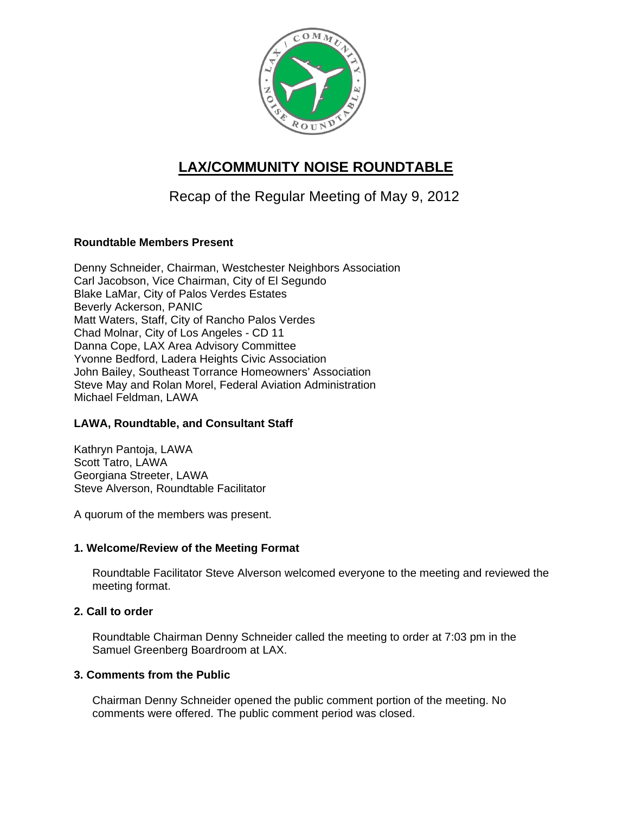

# **LAX/COMMUNITY NOISE ROUNDTABLE**

Recap of the Regular Meeting of May 9, 2012

# **Roundtable Members Present**

Denny Schneider, Chairman, Westchester Neighbors Association Carl Jacobson, Vice Chairman, City of El Segundo Blake LaMar, City of Palos Verdes Estates Beverly Ackerson, PANIC Matt Waters, Staff, City of Rancho Palos Verdes Chad Molnar, City of Los Angeles - CD 11 Danna Cope, LAX Area Advisory Committee Yvonne Bedford, Ladera Heights Civic Association John Bailey, Southeast Torrance Homeowners' Association Steve May and Rolan Morel, Federal Aviation Administration Michael Feldman, LAWA

## **LAWA, Roundtable, and Consultant Staff**

Kathryn Pantoja, LAWA Scott Tatro, LAWA Georgiana Streeter, LAWA Steve Alverson, Roundtable Facilitator

A quorum of the members was present.

## **1. Welcome/Review of the Meeting Format**

Roundtable Facilitator Steve Alverson welcomed everyone to the meeting and reviewed the meeting format.

# **2. Call to order**

Roundtable Chairman Denny Schneider called the meeting to order at 7:03 pm in the Samuel Greenberg Boardroom at LAX.

## **3. Comments from the Public**

Chairman Denny Schneider opened the public comment portion of the meeting. No comments were offered. The public comment period was closed.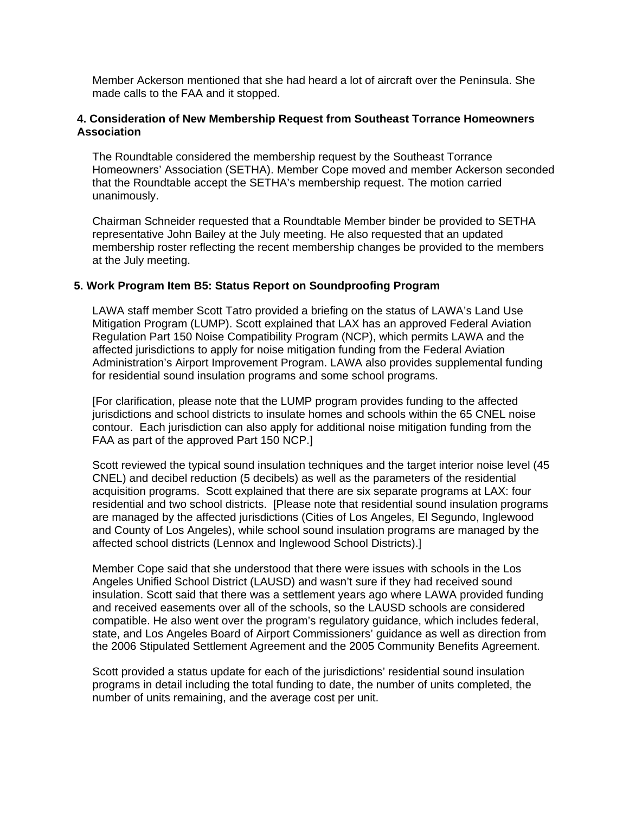Member Ackerson mentioned that she had heard a lot of aircraft over the Peninsula. She made calls to the FAA and it stopped.

## **4. Consideration of New Membership Request from Southeast Torrance Homeowners Association**

The Roundtable considered the membership request by the Southeast Torrance Homeowners' Association (SETHA). Member Cope moved and member Ackerson seconded that the Roundtable accept the SETHA's membership request. The motion carried unanimously.

Chairman Schneider requested that a Roundtable Member binder be provided to SETHA representative John Bailey at the July meeting. He also requested that an updated membership roster reflecting the recent membership changes be provided to the members at the July meeting.

#### **5. Work Program Item B5: Status Report on Soundproofing Program**

LAWA staff member Scott Tatro provided a briefing on the status of LAWA's Land Use Mitigation Program (LUMP). Scott explained that LAX has an approved Federal Aviation Regulation Part 150 Noise Compatibility Program (NCP), which permits LAWA and the affected jurisdictions to apply for noise mitigation funding from the Federal Aviation Administration's Airport Improvement Program. LAWA also provides supplemental funding for residential sound insulation programs and some school programs.

[For clarification, please note that the LUMP program provides funding to the affected jurisdictions and school districts to insulate homes and schools within the 65 CNEL noise contour. Each jurisdiction can also apply for additional noise mitigation funding from the FAA as part of the approved Part 150 NCP.]

Scott reviewed the typical sound insulation techniques and the target interior noise level (45 CNEL) and decibel reduction (5 decibels) as well as the parameters of the residential acquisition programs. Scott explained that there are six separate programs at LAX: four residential and two school districts. [Please note that residential sound insulation programs are managed by the affected jurisdictions (Cities of Los Angeles, El Segundo, Inglewood and County of Los Angeles), while school sound insulation programs are managed by the affected school districts (Lennox and Inglewood School Districts).]

Member Cope said that she understood that there were issues with schools in the Los Angeles Unified School District (LAUSD) and wasn't sure if they had received sound insulation. Scott said that there was a settlement years ago where LAWA provided funding and received easements over all of the schools, so the LAUSD schools are considered compatible. He also went over the program's regulatory guidance, which includes federal, state, and Los Angeles Board of Airport Commissioners' guidance as well as direction from the 2006 Stipulated Settlement Agreement and the 2005 Community Benefits Agreement.

Scott provided a status update for each of the jurisdictions' residential sound insulation programs in detail including the total funding to date, the number of units completed, the number of units remaining, and the average cost per unit.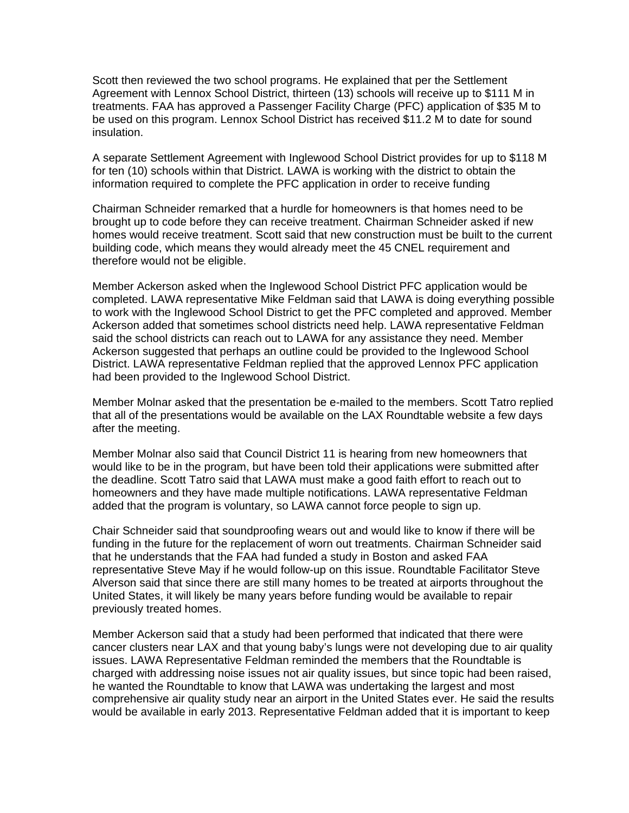Scott then reviewed the two school programs. He explained that per the Settlement Agreement with Lennox School District, thirteen (13) schools will receive up to \$111 M in treatments. FAA has approved a Passenger Facility Charge (PFC) application of \$35 M to be used on this program. Lennox School District has received \$11.2 M to date for sound insulation.

A separate Settlement Agreement with Inglewood School District provides for up to \$118 M for ten (10) schools within that District. LAWA is working with the district to obtain the information required to complete the PFC application in order to receive funding

Chairman Schneider remarked that a hurdle for homeowners is that homes need to be brought up to code before they can receive treatment. Chairman Schneider asked if new homes would receive treatment. Scott said that new construction must be built to the current building code, which means they would already meet the 45 CNEL requirement and therefore would not be eligible.

Member Ackerson asked when the Inglewood School District PFC application would be completed. LAWA representative Mike Feldman said that LAWA is doing everything possible to work with the Inglewood School District to get the PFC completed and approved. Member Ackerson added that sometimes school districts need help. LAWA representative Feldman said the school districts can reach out to LAWA for any assistance they need. Member Ackerson suggested that perhaps an outline could be provided to the Inglewood School District. LAWA representative Feldman replied that the approved Lennox PFC application had been provided to the Inglewood School District.

Member Molnar asked that the presentation be e-mailed to the members. Scott Tatro replied that all of the presentations would be available on the LAX Roundtable website a few days after the meeting.

Member Molnar also said that Council District 11 is hearing from new homeowners that would like to be in the program, but have been told their applications were submitted after the deadline. Scott Tatro said that LAWA must make a good faith effort to reach out to homeowners and they have made multiple notifications. LAWA representative Feldman added that the program is voluntary, so LAWA cannot force people to sign up.

Chair Schneider said that soundproofing wears out and would like to know if there will be funding in the future for the replacement of worn out treatments. Chairman Schneider said that he understands that the FAA had funded a study in Boston and asked FAA representative Steve May if he would follow-up on this issue. Roundtable Facilitator Steve Alverson said that since there are still many homes to be treated at airports throughout the United States, it will likely be many years before funding would be available to repair previously treated homes.

Member Ackerson said that a study had been performed that indicated that there were cancer clusters near LAX and that young baby's lungs were not developing due to air quality issues. LAWA Representative Feldman reminded the members that the Roundtable is charged with addressing noise issues not air quality issues, but since topic had been raised, he wanted the Roundtable to know that LAWA was undertaking the largest and most comprehensive air quality study near an airport in the United States ever. He said the results would be available in early 2013. Representative Feldman added that it is important to keep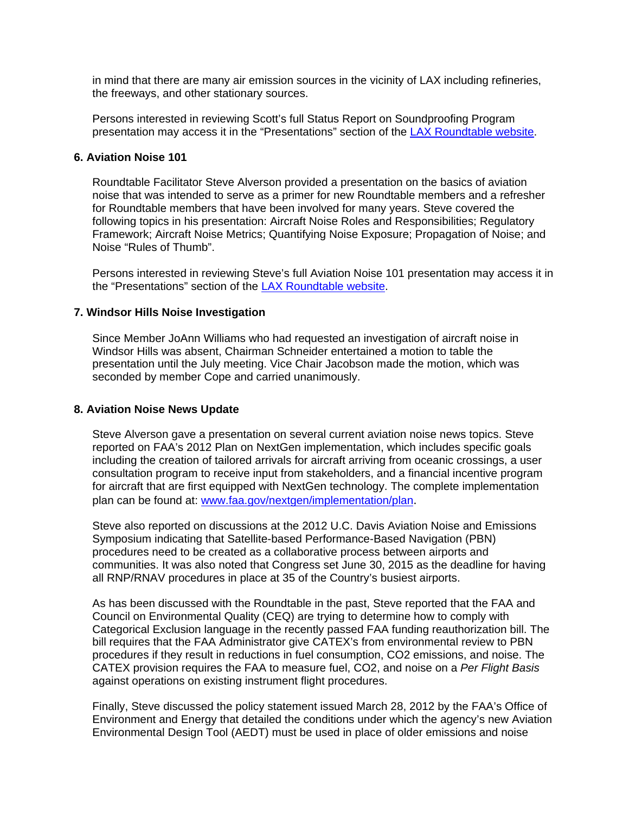in mind that there are many air emission sources in the vicinity of LAX including refineries, the freeways, and other stationary sources.

Persons interested in reviewing Scott's full Status Report on Soundproofing Program presentation may access it in the "Presentations" section of the LAX Roundtable website.

#### **6. Aviation Noise 101**

Roundtable Facilitator Steve Alverson provided a presentation on the basics of aviation noise that was intended to serve as a primer for new Roundtable members and a refresher for Roundtable members that have been involved for many years. Steve covered the following topics in his presentation: Aircraft Noise Roles and Responsibilities; Regulatory Framework; Aircraft Noise Metrics; Quantifying Noise Exposure; Propagation of Noise; and Noise "Rules of Thumb".

Persons interested in reviewing Steve's full Aviation Noise 101 presentation may access it in the "Presentations" section of the LAX Roundtable website.

#### **7. Windsor Hills Noise Investigation**

Since Member JoAnn Williams who had requested an investigation of aircraft noise in Windsor Hills was absent, Chairman Schneider entertained a motion to table the presentation until the July meeting. Vice Chair Jacobson made the motion, which was seconded by member Cope and carried unanimously.

## **8. Aviation Noise News Update**

Steve Alverson gave a presentation on several current aviation noise news topics. Steve reported on FAA's 2012 Plan on NextGen implementation, which includes specific goals including the creation of tailored arrivals for aircraft arriving from oceanic crossings, a user consultation program to receive input from stakeholders, and a financial incentive program for aircraft that are first equipped with NextGen technology. The complete implementation plan can be found at: www.faa.gov/nextgen/implementation/plan.

Steve also reported on discussions at the 2012 U.C. Davis Aviation Noise and Emissions Symposium indicating that Satellite-based Performance-Based Navigation (PBN) procedures need to be created as a collaborative process between airports and communities. It was also noted that Congress set June 30, 2015 as the deadline for having all RNP/RNAV procedures in place at 35 of the Country's busiest airports.

As has been discussed with the Roundtable in the past, Steve reported that the FAA and Council on Environmental Quality (CEQ) are trying to determine how to comply with Categorical Exclusion language in the recently passed FAA funding reauthorization bill. The bill requires that the FAA Administrator give CATEX's from environmental review to PBN procedures if they result in reductions in fuel consumption, CO2 emissions, and noise. The CATEX provision requires the FAA to measure fuel, CO2, and noise on a *Per Flight Basis* against operations on existing instrument flight procedures.

Finally, Steve discussed the policy statement issued March 28, 2012 by the FAA's Office of Environment and Energy that detailed the conditions under which the agency's new Aviation Environmental Design Tool (AEDT) must be used in place of older emissions and noise